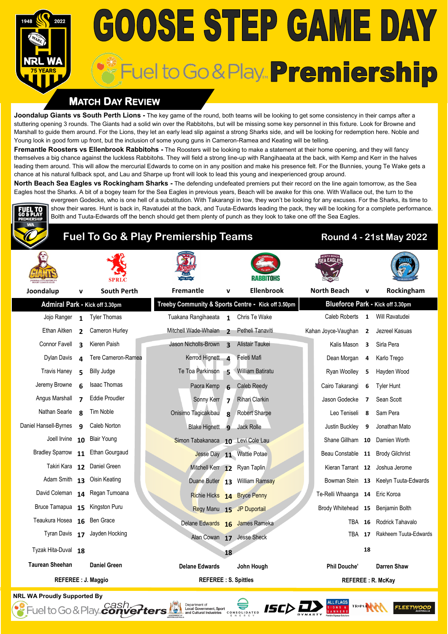# **GOOSE STEP GAME DAY** Fuel to Go & Play. Premiership

### **MATCH DAY REVIEW**

**Joondalup Giants vs South Perth Lions -** The key game of the round, both teams will be looking to get some consistency in their camps after a stuttering opening 3 rounds. The Giants had a solid win over the Rabbitohs, but will be missing some key personnel in this fixture. Look for Browne and Marshall to guide them around. For the Lions, they let an early lead slip against a strong Sharks side, and will be looking for redemption here. Noble and Young look in good form up front, but the inclusion of some young guns in Cameron-Ramea and Keating will be telling.

**Fremantle Roosters vs Ellenbrook Rabbitohs -** The Roosters will be looking to make a statement at their home opening, and they will fancy themselves a big chance against the luckless Rabbitohs. They will field a strong line-up with Rangihaeata at the back, with Kemp and Kerr in the halves leading them around. This will allow the mercurial Edwards to come on in any position and make his presence felt. For the Bunnies, young Te Wake gets a chance at his natural fullback spot, and Lau and Sharpe up front will look to lead this young and inexperienced group around.

**North Beach Sea Eagles vs Rockingham Sharks -** The defending undefeated premiers put their record on the line again tomorrow, as the Sea Eagles host the Sharks. A bit of a bogey team for the Sea Eagles in previous years, Beach will be awake for this one. With Wallace out, the turn to the evergreen Godecke, who is one hell of a substitution. With Takarangi in tow, they won't be looking for any excuses. For the Sharks, its time to show their wares. Hunt is back in, Ravatudei at the back, and Tuuta-Edwards leading the pack, they will be looking for a complete performance.

Bolth and Tuuta-Edwards off the bench should get them plenty of punch as they look to take one off the Sea Eagles.



### **Fuel To Go & Play Premiership Teams Round 4 - 21st May 2022**

|                                   |                          |                                                    |                                   |                          | RABBITOHS                        |                          |                                   |                         |                                      |  |
|-----------------------------------|--------------------------|----------------------------------------------------|-----------------------------------|--------------------------|----------------------------------|--------------------------|-----------------------------------|-------------------------|--------------------------------------|--|
| Joondalup                         | v                        | <b>South Perth</b>                                 | Fremantle                         | $\mathbf v$              | <b>Ellenbrook</b>                |                          | <b>North Beach</b>                | v                       | Rockingham                           |  |
| Admiral Park - Kick off 3.30pm    |                          | Treeby Community & Sports Centre - Kick off 3.50pm |                                   |                          | Blueforce Park - Kick off 3.30pm |                          |                                   |                         |                                      |  |
| Jojo Ranger 1                     |                          | <b>Tyler Thomas</b>                                | Tuakana Rangihaeata 1             |                          | Chris Te Wake                    |                          | Caleb Roberts                     | $\mathbf{1}$            | Will Ravatudei                       |  |
| Ethan Aitken                      | $\overline{2}$           | Cameron Hurley                                     | Mitchell Wade-Whalan              | $\overline{\phantom{a}}$ | Petheli Tanaviti                 |                          | Kahan Joyce-Vaughan 2             |                         | Jezreel Kasuas                       |  |
| Connor Favell                     | $\overline{\mathbf{a}}$  | Kieren Paish                                       | Jason Nicholls-Brown              | $\overline{\mathbf{z}}$  | Alistair Taukei                  |                          | Kalis Mason                       | $\overline{\mathbf{3}}$ | Sirla Pera                           |  |
| Dylan Davis                       | 4                        | Tere Cameron-Ramea                                 | Kerrod Hignett 4                  |                          | Feleti Mafi                      |                          | Dean Morgan                       | 4                       | Karlo Trego                          |  |
| <b>Travis Haney</b>               | 5                        | Billy Judge                                        | Te Toa Parkinson 5                |                          | William Batiratu                 |                          | Ryan Woolley                      | 5                       | Hayden Wood                          |  |
| Jeremy Browne                     | 6                        | <b>Isaac Thomas</b>                                | Paora Kemp                        | $\mathbf{f}$             | <b>Caleb Reedy</b>               |                          | Cairo Takarangi                   | 6                       | <b>Tyler Hunt</b>                    |  |
| Angus Marshall                    | $\overline{\phantom{a}}$ | <b>Eddie Proudler</b>                              | Sonny Kerr 7                      |                          | <b>Rihari Clarkin</b>            |                          | Jason Godecke                     | 7                       | Sean Scott                           |  |
| Nathan Searle                     | $\mathbf{R}$             | Tim Noble                                          | Onisimo Tagicakibau               | $\mathbf{R}$             | Robert Sharpe                    |                          | Leo Teniseli                      | 8                       | Sam Pera                             |  |
| Daniel Hansell-Byrnes             | $\mathbf{q}$             | Caleb Norton                                       | Blake Hignett 9                   |                          | Jack Rolle                       |                          | Justin Buckley                    | 9                       | Jonathan Mato                        |  |
| Joell Irvine                      |                          | 10 Blair Young                                     | Simon Tabakanaca 10 Levi Cole Lau |                          |                                  |                          | Shane Gillham 10 Damien Worth     |                         |                                      |  |
| Bradley Sparrow 11 Ethan Gourgaud |                          |                                                    |                                   |                          | Jesse Day 11 Wattie Potae        |                          | Beau Constable 11 Brody Gilchrist |                         |                                      |  |
|                                   |                          | Takiri Kara 12 Daniel Green                        | Mitchell Kerr 12 Ryan Taplin      |                          |                                  |                          |                                   |                         | Kieran Tarrant 12 Joshua Jerome      |  |
|                                   |                          | Adam Smith 13 Oisin Keating                        |                                   |                          | Duane Butler 13 William Ramsay   |                          |                                   |                         | Bowman Stein 13 Keelyn Tuuta-Edwards |  |
|                                   |                          | David Coleman 14 Regan Tumoana                     | Richie Hicks 14 Bryce Penny       |                          |                                  |                          | Te-Relli Whaanga 14 Eric Koroa    |                         |                                      |  |
| Bruce Tamapua                     |                          | 15 Kingston Puru                                   |                                   |                          | Regy Manu 15 JP Duportail        |                          | Brody Whitehead 15 Benjamin Bolth |                         |                                      |  |
| Teaukura Hosea 16 Ben Grace       |                          |                                                    | Delane Edwards 16 James Rameka    |                          |                                  |                          | <b>TBA</b>                        | 16                      | Rodrick Tahavalo                     |  |
|                                   |                          | Tyran Davis 17 Jayden Hocking                      |                                   |                          | Alan Cowan 17 Jesse Sheck        |                          | TBA                               |                         | 17 Rakheem Tuuta-Edwards             |  |
| Tyzak Hita-Duval 18               |                          |                                                    |                                   | 18                       |                                  |                          |                                   | 18                      |                                      |  |
| <b>Taurean Sheehan</b>            |                          | <b>Daniel Green</b>                                | <b>Delane Edwards</b>             |                          | John Hough                       |                          | Phil Douche'                      |                         | Darren Shaw                          |  |
| <b>REFEREE : J. Maggio</b>        |                          | <b>REFEREE: S. Spittles</b>                        |                                   |                          |                                  | <b>REFEREE: R. McKay</b> |                                   |                         |                                      |  |

CONSULATED **ISC** 

**NRL WA Proudly Supported By** -<br>Fuel to Go & Play... *Cash*